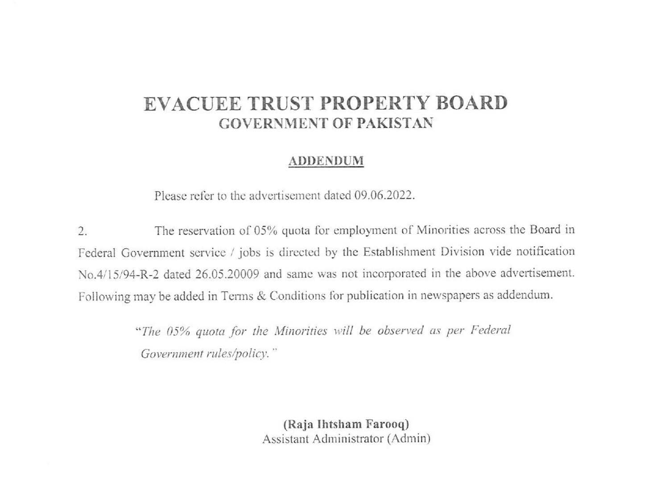# EVACUEE TRUST PROPERTY BOARD **GOVERNMENT OF PAKISTAN**

#### **ADDENDUM**

Please refer to the advertisement dated 09.06.2022.

The reservation of 05% quota for employment of Minorities across the Board in  $\overline{2}$ . Federal Government service / jobs is directed by the Establishment Division vide notification No.4/15/94-R-2 dated 26.05.20009 and same was not incorporated in the above advertisement. Following may be added in Terms & Conditions for publication in newspapers as addendum.

> "The 05% quota for the Minorities will be observed as per Federal Government rules/policy."

> > (Raja Ihtsham Farooq) Assistant Administrator (Admin)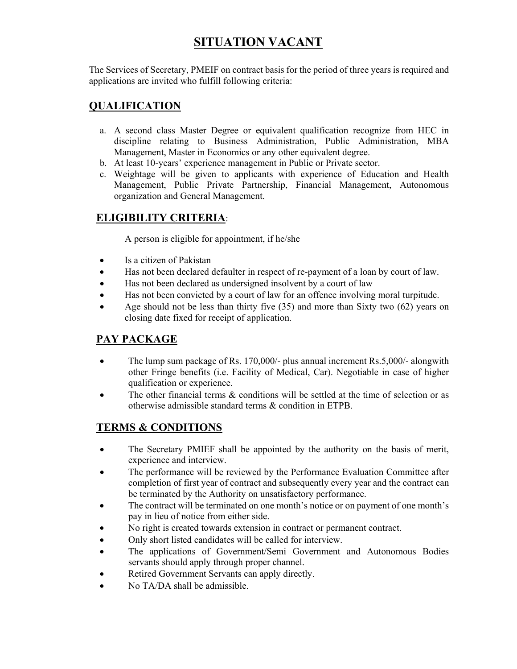# **SITUATION VACANT**

The Services of Secretary, PMEIF on contract basis for the period of three years is required and applications are invited who fulfill following criteria:

### **QUALIFICATION**

- a. A second class Master Degree or equivalent qualification recognize from HEC in discipline relating to Business Administration, Public Administration, MBA Management, Master in Economics or any other equivalent degree.
- b. At least 10-years' experience management in Public or Private sector.
- c. Weightage will be given to applicants with experience of Education and Health Management, Public Private Partnership, Financial Management, Autonomous organization and General Management.

### **ELIGIBILITY CRITERIA**:

A person is eligible for appointment, if he/she

- Is a citizen of Pakistan
- Has not been declared defaulter in respect of re-payment of a loan by court of law.
- Has not been declared as undersigned insolvent by a court of law
- Has not been convicted by a court of law for an offence involving moral turpitude.
- Age should not be less than thirty five (35) and more than Sixty two (62) years on closing date fixed for receipt of application.

#### **PAY PACKAGE**

- The lump sum package of Rs. 170,000/- plus annual increment Rs.5,000/- alongwith other Fringe benefits (i.e. Facility of Medical, Car). Negotiable in case of higher qualification or experience.
- The other financial terms & conditions will be settled at the time of selection or as otherwise admissible standard terms & condition in ETPB.

#### **TERMS & CONDITIONS**

- The Secretary PMIEF shall be appointed by the authority on the basis of merit, experience and interview.
- The performance will be reviewed by the Performance Evaluation Committee after completion of first year of contract and subsequently every year and the contract can be terminated by the Authority on unsatisfactory performance.
- The contract will be terminated on one month's notice or on payment of one month's pay in lieu of notice from either side.
- No right is created towards extension in contract or permanent contract.
- Only short listed candidates will be called for interview.
- The applications of Government/Semi Government and Autonomous Bodies servants should apply through proper channel.
- Retired Government Servants can apply directly.
- No TA/DA shall be admissible.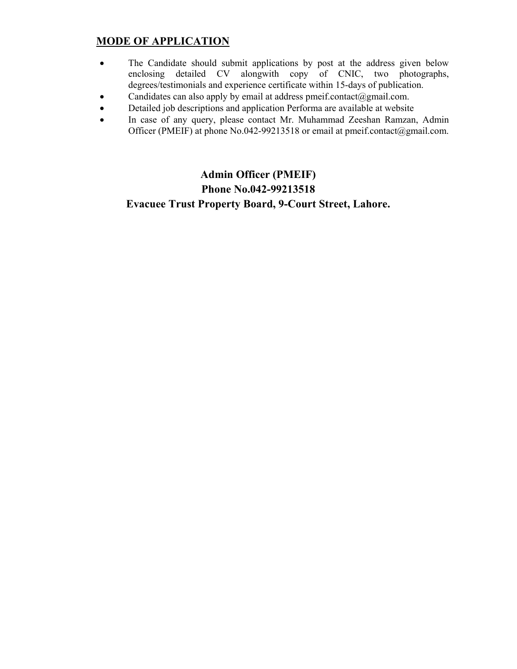### **MODE OF APPLICATION**

- The Candidate should submit applications by post at the address given below enclosing detailed CV alongwith copy of CNIC, two photographs, degrees/testimonials and experience certificate within 15-days of publication.
- Candidates can also apply by email at address pmeif.contact@gmail.com.
- Detailed job descriptions and application Performa are available at website
- In case of any query, please contact Mr. Muhammad Zeeshan Ramzan, Admin Officer (PMEIF) at phone No.042-99213518 or email at pmeif.contact@gmail.com.

### **Admin Officer (PMEIF) Phone No.042-99213518 Evacuee Trust Property Board, 9-Court Street, Lahore.**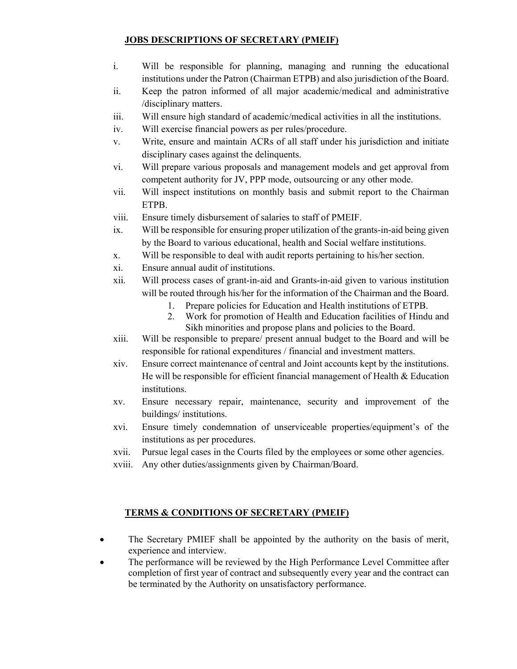#### **JOBS DESCRIPTIONS OF SECRETARY (PMEIF)**

- i. Will be responsible for planning, managing and running the educational institutions under the Patron (Chairman ETPB) and also jurisdiction of the Board.
- ii. Keep the patron informed of all major academic/medical and administrative /disciplinary matters.
- iii. Will ensure high standard of academic/medical activities in all the institutions.
- iv. Will exercise financial powers as per rules/procedure.
- v. Write, ensure and maintain ACRs of all staff under his jurisdiction and initiate disciplinary cases against the delinquents.
- vi. Will prepare various proposals and management models and get approval from competent authority for JV, PPP mode, outsourcing or any other mode.
- vii. Will inspect institutions on monthly basis and submit report to the Chairman ETPB.
- viii. Ensure timely disbursement of salaries to staff of PMEIF.
- ix. Will be responsible for ensuring proper utilization of the grants-in-aid being given by the Board to various educational, health and Social welfare institutions.
- x. Will be responsible to deal with audit reports pertaining to his/her section.
- xi. Ensure annual audit of institutions.
- xii. Will process cases of grant-in-aid and Grants-in-aid given to various institution will be routed through his/her for the information of the Chairman and the Board.
	- 1. Prepare policies for Education and Health institutions of ETPB.
	- 2. Work for promotion of Health and Education facilities of Hindu and Sikh minorities and propose plans and policies to the Board.
- xiii. Will be responsible to prepare/ present annual budget to the Board and will be responsible for rational expenditures / financial and investment matters.
- xiv. Ensure correct maintenance of central and Joint accounts kept by the institutions. He will be responsible for efficient financial management of Health & Education institutions.
- xv. Ensure necessary repair, maintenance, security and improvement of the buildings/ institutions.
- xvi. Ensure timely condemnation of unserviceable properties/equipment's of the institutions as per procedures.
- xvii. Pursue legal cases in the Courts filed by the employees or some other agencies.
- xviii. Any other duties/assignments given by Chairman/Board.

#### **TERMS & CONDITIONS OF SECRETARY (PMEIF)**

- The Secretary PMIEF shall be appointed by the authority on the basis of merit, experience and interview.
- The performance will be reviewed by the High Performance Level Committee after completion of first year of contract and subsequently every year and the contract can be terminated by the Authority on unsatisfactory performance.